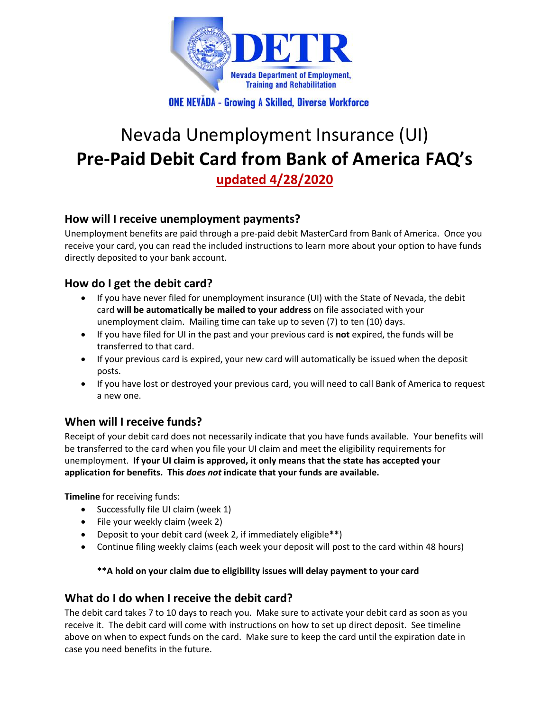

**ONE NEVADA - Growing A Skilled, Diverse Workforce** 

# Nevada Unemployment Insurance (UI) **Pre-Paid Debit Card from Bank of America FAQ's updated 4/28/2020**

# **How will I receive unemployment payments?**

Unemployment benefits are paid through a pre-paid debit MasterCard from Bank of America. Once you receive your card, you can read the included instructions to learn more about your option to have funds directly deposited to your bank account.

# **How do I get the debit card?**

- If you have never filed for unemployment insurance (UI) with the State of Nevada, the debit card **will be automatically be mailed to your address** on file associated with your unemployment claim. Mailing time can take up to seven (7) to ten (10) days.
- If you have filed for UI in the past and your previous card is **not** expired, the funds will be transferred to that card.
- If your previous card is expired, your new card will automatically be issued when the deposit posts.
- If you have lost or destroyed your previous card, you will need to call Bank of America to request a new one.

# **When will I receive funds?**

Receipt of your debit card does not necessarily indicate that you have funds available. Your benefits will be transferred to the card when you file your UI claim and meet the eligibility requirements for unemployment. **If your UI claim is approved, it only means that the state has accepted your application for benefits. This** *does not* **indicate that your funds are available.**

**Timeline** for receiving funds:

- Successfully file UI claim (week 1)
- File your weekly claim (week 2)
- Deposit to your debit card (week 2, if immediately eligible**\*\***)
- Continue filing weekly claims (each week your deposit will post to the card within 48 hours)

#### **\*\*A hold on your claim due to eligibility issues will delay payment to your card**

#### **What do I do when I receive the debit card?**

The debit card takes 7 to 10 days to reach you. Make sure to activate your debit card as soon as you receive it. The debit card will come with instructions on how to set up direct deposit. See timeline above on when to expect funds on the card. Make sure to keep the card until the expiration date in case you need benefits in the future.